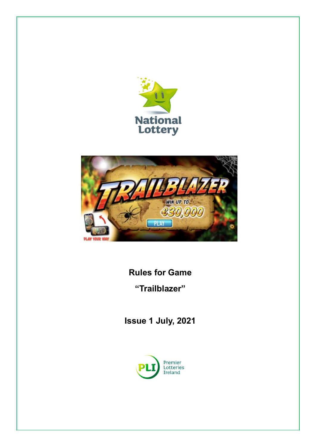



# **Rules for Game**

**"Trailblazer"**

**Issue 1 July, 2021**

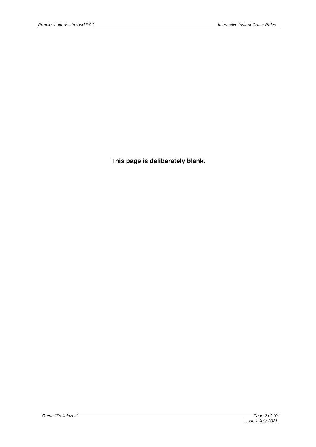**This page is deliberately blank.**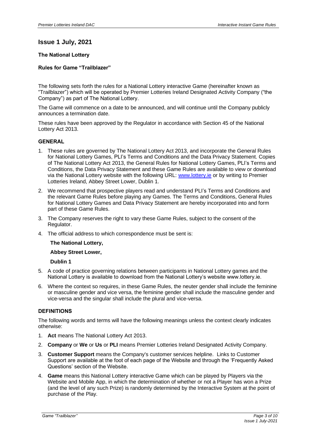# **Issue 1 July, 2021**

# **The National Lottery**

#### **Rules for Game "Trailblazer"**

The following sets forth the rules for a National Lottery interactive Game (hereinafter known as "Trailblazer") which will be operated by Premier Lotteries Ireland Designated Activity Company ("the Company") as part of The National Lottery.

The Game will commence on a date to be announced, and will continue until the Company publicly announces a termination date.

These rules have been approved by the Regulator in accordance with Section 45 of the National Lottery Act 2013.

# **GENERAL**

- 1. These rules are governed by The National Lottery Act 2013, and incorporate the General Rules for National Lottery Games, PLI's Terms and Conditions and the Data Privacy Statement. Copies of The National Lottery Act 2013, the General Rules for National Lottery Games, PLI's Terms and Conditions, the Data Privacy Statement and these Game Rules are available to view or download via the National Lottery website with the following URL: [www.lottery.ie](http://www.lotto.ie/) or by writing to Premier Lotteries Ireland, Abbey Street Lower, Dublin 1.
- 2. We recommend that prospective players read and understand PLI's Terms and Conditions and the relevant Game Rules before playing any Games. The Terms and Conditions, General Rules for National Lottery Games and Data Privacy Statement are hereby incorporated into and form part of these Game Rules.
- 3. The Company reserves the right to vary these Game Rules, subject to the consent of the Regulator.
- 4. The official address to which correspondence must be sent is:

#### **The National Lottery,**

**Abbey Street Lower,**

#### **Dublin 1**

- 5. A code of practice governing relations between participants in National Lottery games and the National Lottery is available to download from the National Lottery's website www.lottery.ie.
- 6. Where the context so requires, in these Game Rules, the neuter gender shall include the feminine or masculine gender and vice versa, the feminine gender shall include the masculine gender and vice-versa and the singular shall include the plural and vice-versa.

# **DEFINITIONS**

The following words and terms will have the following meanings unless the context clearly indicates otherwise:

- 1. **Act** means The National Lottery Act 2013.
- 2. **Company** or **We** or **Us** or **PLI** means Premier Lotteries Ireland Designated Activity Company.
- 3. **Customer Support** means the Company's customer services helpline. Links to Customer Support are available at the foot of each page of the Website and through the 'Frequently Asked Questions' section of the Website.
- 4. **Game** means this National Lottery interactive Game which can be played by Players via the Website and Mobile App, in which the determination of whether or not a Player has won a Prize (and the level of any such Prize) is randomly determined by the Interactive System at the point of purchase of the Play.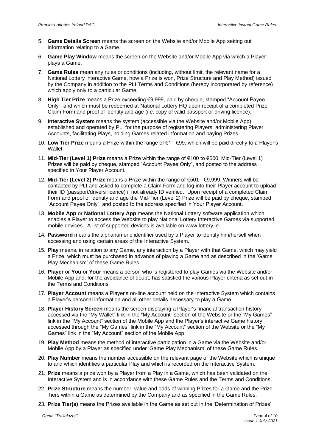- 5. **Game Details Screen** means the screen on the Website and/or Mobile App setting out information relating to a Game.
- 6. **Game Play Window** means the screen on the Website and/or Mobile App via which a Player plays a Game.
- 7. **Game Rules** mean any rules or conditions (including, without limit, the relevant name for a National Lottery interactive Game, how a Prize is won, Prize Structure and Play Method) issued by the Company in addition to the PLI Terms and Conditions (hereby incorporated by reference) which apply only to a particular Game.
- 8. **High Tier Prize** means a Prize exceeding €9,999, paid by cheque, stamped "Account Payee Only", and which must be redeemed at National Lottery HQ upon receipt of a completed Prize Claim Form and proof of identity and age (i.e. copy of valid passport or driving licence).
- 9. **Interactive System** means the system (accessible via the Website and/or Mobile App) established and operated by PLI for the purpose of registering Players, administering Player Accounts, facilitating Plays, holding Games related information and paying Prizes.
- 10. **Low Tier Prize** means a Prize within the range of €1 €99, which will be paid directly to a Player's Wallet.
- 11. **Mid-Tier (Level 1) Prize** means a Prize within the range of €100 to €500. Mid-Tier (Level 1) Prizes will be paid by cheque, stamped "Account Payee Only", and posted to the address specified in Your Player Account.
- 12. **Mid-Tier (Level 2) Prize** means a Prize within the range of €501 €9,999. Winners will be contacted by PLI and asked to complete a Claim Form and log into their Player account to upload their ID (passport/drivers licence) if not already ID verified. Upon receipt of a completed Claim Form and proof of identity and age the Mid-Tier (Level 2) Prize will be paid by cheque, stamped "Account Payee Only", and posted to the address specified in Your Player Account.
- 13. **Mobile App** or **National Lottery App** means the National Lottery software application which enables a Player to access the Website to play National Lottery Interactive Games via supported mobile devices. A list of supported devices is available on www.lottery.ie.
- 14. **Password** means the alphanumeric identifier used by a Player to identify him/herself when accessing and using certain areas of the Interactive System.
- 15. **Play** means, in relation to any Game, any interaction by a Player with that Game, which may yield a Prize, which must be purchased in advance of playing a Game and as described in the 'Game Play Mechanism' of these Game Rules.
- 16. **Player** or **You** or **Your** means a person who is registered to play Games via the Website and/or Mobile App and, for the avoidance of doubt, has satisfied the various Player criteria as set out in the Terms and Conditions.
- 17. **Player Account** means a Player's on-line account held on the Interactive System which contains a Player's personal information and all other details necessary to play a Game.
- 18. **Player History Screen** means the screen displaying a Player's financial transaction history accessed via the "My Wallet" link in the "My Account" section of the Website or the "My Games" link in the "My Account" section of the Mobile App and the Player's interactive Game history accessed through the "My Games" link in the "My Account" section of the Website or the "My Games" link in the "My Account" section of the Mobile App.
- 19. **Play Method** means the method of interactive participation in a Game via the Website and/or Mobile App by a Player as specified under 'Game Play Mechanism' of these Game Rules.
- 20. **Play Number** means the number accessible on the relevant page of the Website which is unique to and which identifies a particular Play and which is recorded on the Interactive System.
- 21. **Prize** means a prize won by a Player from a Play in a Game, which has been validated on the Interactive System and is in accordance with these Game Rules and the Terms and Conditions.
- 22. **Prize Structure** means the number, value and odds of winning Prizes for a Game and the Prize Tiers within a Game as determined by the Company and as specified in the Game Rules.
- 23. **Prize Tier(s)** means the Prizes available in the Game as set out in the 'Determination of Prizes'.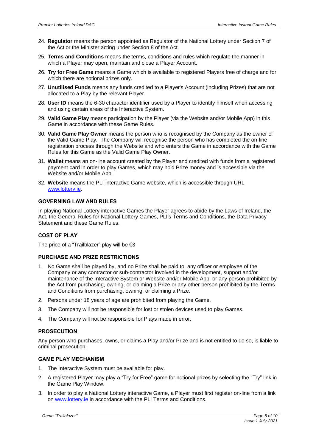- 24. **Regulator** means the person appointed as Regulator of the National Lottery under Section 7 of the Act or the Minister acting under Section 8 of the Act.
- 25. **Terms and Conditions** means the terms, conditions and rules which regulate the manner in which a Player may open, maintain and close a Player Account.
- 26. **Try for Free Game** means a Game which is available to registered Players free of charge and for which there are notional prizes only.
- 27. **Unutilised Funds** means any funds credited to a Player's Account (including Prizes) that are not allocated to a Play by the relevant Player.
- 28. **User ID** means the 6-30 character identifier used by a Player to identify himself when accessing and using certain areas of the Interactive System.
- 29. **Valid Game Play** means participation by the Player (via the Website and/or Mobile App) in this Game in accordance with these Game Rules.
- 30. **Valid Game Play Owner** means the person who is recognised by the Company as the owner of the Valid Game Play. The Company will recognise the person who has completed the on-line registration process through the Website and who enters the Game in accordance with the Game Rules for this Game as the Valid Game Play Owner.
- 31. **Wallet** means an on-line account created by the Player and credited with funds from a registered payment card in order to play Games, which may hold Prize money and is accessible via the Website and/or Mobile App.
- 32. **Website** means the PLI interactive Game website, which is accessible through URL www.lottery.ie.

# **GOVERNING LAW AND RULES**

In playing National Lottery interactive Games the Player agrees to abide by the Laws of Ireland, the Act, the General Rules for National Lottery Games, PLI's Terms and Conditions, the Data Privacy Statement and these Game Rules.

# **COST OF PLAY**

The price of a "Trailblazer" play will be €3

#### **PURCHASE AND PRIZE RESTRICTIONS**

- 1. No Game shall be played by, and no Prize shall be paid to, any officer or employee of the Company or any contractor or sub-contractor involved in the development, support and/or maintenance of the Interactive System or Website and/or Mobile App, or any person prohibited by the Act from purchasing, owning, or claiming a Prize or any other person prohibited by the Terms and Conditions from purchasing, owning, or claiming a Prize.
- 2. Persons under 18 years of age are prohibited from playing the Game.
- 3. The Company will not be responsible for lost or stolen devices used to play Games.
- 4. The Company will not be responsible for Plays made in error.

#### **PROSECUTION**

Any person who purchases, owns, or claims a Play and/or Prize and is not entitled to do so, is liable to criminal prosecution.

#### **GAME PLAY MECHANISM**

- 1. The Interactive System must be available for play.
- 2. A registered Player may play a "Try for Free" game for notional prizes by selecting the "Try" link in the Game Play Window.
- 3. In order to play a National Lottery interactive Game, a Player must first register on-line from a link on [www.lottery.ie](http://www.lotto.ie/) in accordance with the PLI Terms and Conditions.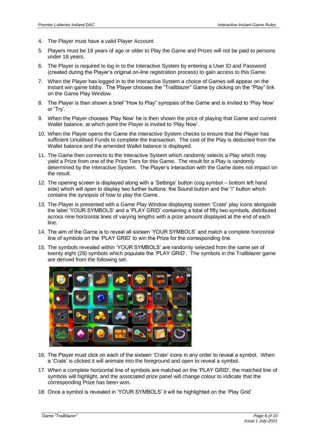- 4. The Player must have a valid Player Account.
- 5. Players must be 18 years of age or older to Play the Game and Prizes will not be paid to persons under 18 years.
- 6. The Player is required to log in to the Interactive System by entering a User ID and Password (created during the Player's original on-line registration process) to gain access to this Game.
- 7. When the Player has logged in to the Interactive System a choice of Games will appear on the instant win game lobby. The Player chooses the "Trailblazer" Game by clicking on the "Play" link on the Game Play Window.
- 8. The Player is then shown a brief "How to Play" synopsis of the Game and is invited to 'Play Now' or 'Try'.
- 9. When the Player chooses 'Play Now' he is then shown the price of playing that Game and current Wallet balance, at which point the Player is invited to 'Play Now'.
- 10. When the Player opens the Game the Interactive System checks to ensure that the Player has sufficient Unutilised Funds to complete the transaction. The cost of the Play is deducted from the Wallet balance and the amended Wallet balance is displayed.
- 11. The Game then connects to the Interactive System which randomly selects a Play which may yield a Prize from one of the Prize Tiers for this Game. The result for a Play is randomly determined by the Interactive System. The Player's interaction with the Game does not impact on the result.
- 12. The opening screen is displayed along with a 'Settings' button (cog symbol bottom left hand side) which will open to display two further buttons: the Sound button and the "i" button which contains the synopsis of how to play the Game.
- 13. The Player is presented with a Game Play Window displaying sixteen 'Crate' play icons alongside the label 'YOUR SYMBOLS' and a 'PLAY GRID' containing a total of fifty two symbols, distributed across nine horizontal lines of varying lengths with a prize amount displayed at the end of each line.
- 14. The aim of the Game is to reveal all sixteen 'YOUR SYMBOLS' and match a complete horizontal line of symbols on the 'PLAY GRID' to win the Prize for the corresponding line.
- 15. The symbols revealed within 'YOUR SYMBOLS' are randomly selected from the same set of twenty eight (28) symbols which populate the 'PLAY GRID'. The symbols in the Trailblazer game are derived from the following set:



- 16. The Player must click on each of the sixteen 'Crate' icons in any order to reveal a symbol. When a 'Crate' is clicked it will animate into the foreground and open to reveal a symbol.
- 17. When a complete horizontal line of symbols are matched on the 'PLAY GRID', the matched line of symbols will highlight, and the associated prize panel will change colour to indicate that the corresponding Prize has been won.
- 18. Once a symbol is revealed in 'YOUR SYMBOLS' it will be highlighted on the 'Play Grid'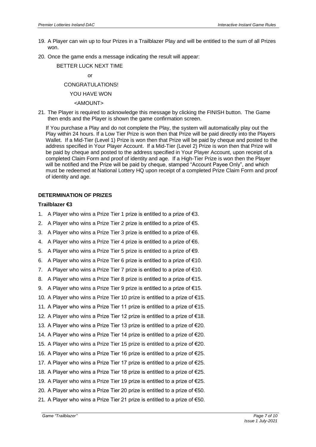- 19. A Player can win up to four Prizes in a Trailblazer Play and will be entitled to the sum of all Prizes won.
- 20. Once the game ends a message indicating the result will appear:

BETTER LUCK NEXT TIME

**or** *or* **or** 

# CONGRATULATIONS!

#### YOU HAVE WON

#### <AMOUNT>

21. The Player is required to acknowledge this message by clicking the FINISH button. The Game then ends and the Player is shown the game confirmation screen.

If You purchase a Play and do not complete the Play, the system will automatically play out the Play within 24 hours. If a Low Tier Prize is won then that Prize will be paid directly into the Players Wallet. If a Mid-Tier (Level 1) Prize is won then that Prize will be paid by cheque and posted to the address specified in Your Player Account. If a Mid-Tier (Level 2) Prize is won then that Prize will be paid by cheque and posted to the address specified in Your Player Account, upon receipt of a completed Claim Form and proof of identity and age. If a High-Tier Prize is won then the Player will be notified and the Prize will be paid by cheque, stamped "Account Payee Only", and which must be redeemed at National Lottery HQ upon receipt of a completed Prize Claim Form and proof of identity and age.

# **DETERMINATION OF PRIZES**

#### **Trailblazer €3**

- 1. A Player who wins a Prize Tier 1 prize is entitled to a prize of €3.
- 2. A Player who wins a Prize Tier 2 prize is entitled to a prize of  $65$ .
- 3. A Player who wins a Prize Tier 3 prize is entitled to a prize of €6.
- 4. A Player who wins a Prize Tier 4 prize is entitled to a prize of  $\epsilon$ 6.
- 5. A Player who wins a Prize Tier 5 prize is entitled to a prize of €9.
- 6. A Player who wins a Prize Tier 6 prize is entitled to a prize of €10.
- 7. A Player who wins a Prize Tier 7 prize is entitled to a prize of  $\epsilon$ 10.
- 8. A Player who wins a Prize Tier 8 prize is entitled to a prize of  $\epsilon$ 15.
- 9. A Player who wins a Prize Tier 9 prize is entitled to a prize of €15.
- 10. A Player who wins a Prize Tier 10 prize is entitled to a prize of €15.
- 11. A Player who wins a Prize Tier 11 prize is entitled to a prize of €15.
- 12. A Player who wins a Prize Tier 12 prize is entitled to a prize of €18.
- 13. A Player who wins a Prize Tier 13 prize is entitled to a prize of €20.
- 14. A Player who wins a Prize Tier 14 prize is entitled to a prize of €20.
- 15. A Player who wins a Prize Tier 15 prize is entitled to a prize of €20.
- 16. A Player who wins a Prize Tier 16 prize is entitled to a prize of €25.
- 17. A Player who wins a Prize Tier 17 prize is entitled to a prize of €25.
- 18. A Player who wins a Prize Tier 18 prize is entitled to a prize of €25.
- 19. A Player who wins a Prize Tier 19 prize is entitled to a prize of €25.
- 20. A Player who wins a Prize Tier 20 prize is entitled to a prize of €50.
- 21. A Player who wins a Prize Tier 21 prize is entitled to a prize of €50.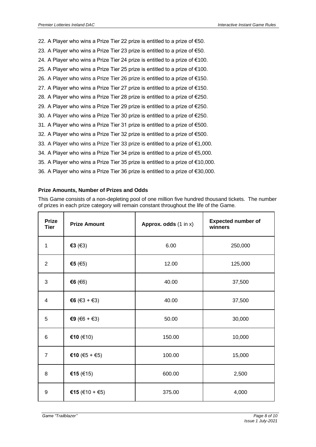- 22. A Player who wins a Prize Tier 22 prize is entitled to a prize of €50.
- 23. A Player who wins a Prize Tier 23 prize is entitled to a prize of €50.
- 24. A Player who wins a Prize Tier 24 prize is entitled to a prize of €100.
- 25. A Player who wins a Prize Tier 25 prize is entitled to a prize of €100.
- 26. A Player who wins a Prize Tier 26 prize is entitled to a prize of €150.
- 27. A Player who wins a Prize Tier 27 prize is entitled to a prize of €150.
- 28. A Player who wins a Prize Tier 28 prize is entitled to a prize of €250.
- 29. A Player who wins a Prize Tier 29 prize is entitled to a prize of €250.
- 30. A Player who wins a Prize Tier 30 prize is entitled to a prize of €250.
- 31. A Player who wins a Prize Tier 31 prize is entitled to a prize of €500.
- 32. A Player who wins a Prize Tier 32 prize is entitled to a prize of €500.
- 33. A Player who wins a Prize Tier 33 prize is entitled to a prize of €1,000.
- 34. A Player who wins a Prize Tier 34 prize is entitled to a prize of €5,000.
- 35. A Player who wins a Prize Tier 35 prize is entitled to a prize of €10,000.
- 36. A Player who wins a Prize Tier 36 prize is entitled to a prize of €30,000.

# **Prize Amounts, Number of Prizes and Odds**

This Game consists of a non-depleting pool of one million five hundred thousand tickets. The number of prizes in each prize category will remain constant throughout the life of the Game.

| <b>Prize</b><br><b>Tier</b> | <b>Prize Amount</b> | Approx. odds (1 in x) | <b>Expected number of</b><br>winners |
|-----------------------------|---------------------|-----------------------|--------------------------------------|
| $\mathbf{1}$                | €3 (€3)             | 6.00                  | 250,000                              |
| 2                           | €5 (€5)             | 12.00                 | 125,000                              |
| 3                           | €6 (€6)             | 40.00                 | 37,500                               |
| $\overline{\mathbf{4}}$     | €6 (€3 + €3)        | 40.00                 | 37,500                               |
| 5                           | €9 ( $€6 + €3$ )    | 50.00                 | 30,000                               |
| 6                           | €10 (€10)           | 150.00                | 10,000                               |
| $\overline{7}$              | €10 (€5 + €5)       | 100.00                | 15,000                               |
| 8                           | €15 (€15)           | 600.00                | 2,500                                |
| 9                           | €15 (€10 + €5)      | 375.00                | 4,000                                |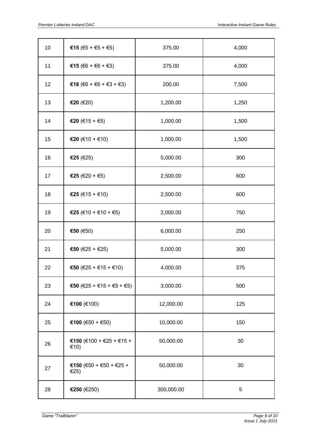| 10 | €15 (€5 + €5 + €5)               | 375.00     | 4,000 |
|----|----------------------------------|------------|-------|
| 11 | €15 ( $€6 + €6 + €3$ )           | 375.00     | 4,000 |
| 12 | €18 (€6 + €6 + €3 + €3)          | 200.00     | 7,500 |
| 13 | €20 (€20)                        | 1,200.00   | 1,250 |
| 14 | €20 (€15 + €5)                   | 1,000.00   | 1,500 |
| 15 | €20 (€10 + €10)                  | 1,000.00   | 1,500 |
| 16 | €25 (€25)                        | 5,000.00   | 300   |
| 17 | €25 (€20 + €5)                   | 2,500.00   | 600   |
| 18 | €25 (€15 + €10)                  | 2,500.00   | 600   |
| 19 | €25 (€10 + €10 + €5)             | 2,000.00   | 750   |
| 20 | €50 (€50)                        | 6,000.00   | 250   |
| 21 | €50 (€25 + €25)                  | 5,000.00   | 300   |
| 22 | €50 (€25 + €15 + €10)            | 4,000.00   | 375   |
| 23 | €50 (€25 + €15 + €5 + €5)        | 3,000.00   | 500   |
| 24 | €100 (€100)                      | 12,000.00  | 125   |
| 25 | €100 (€50 + €50)                 | 10,000.00  | 150   |
| 26 | €150 (€100 + €25 + €15 +<br>€10) | 50,000.00  | 30    |
| 27 | €150 (€50 + €50 + €25 +<br>€25)  | 50,000.00  | 30    |
| 28 | €250 (€250)                      | 300,000.00 | 5     |